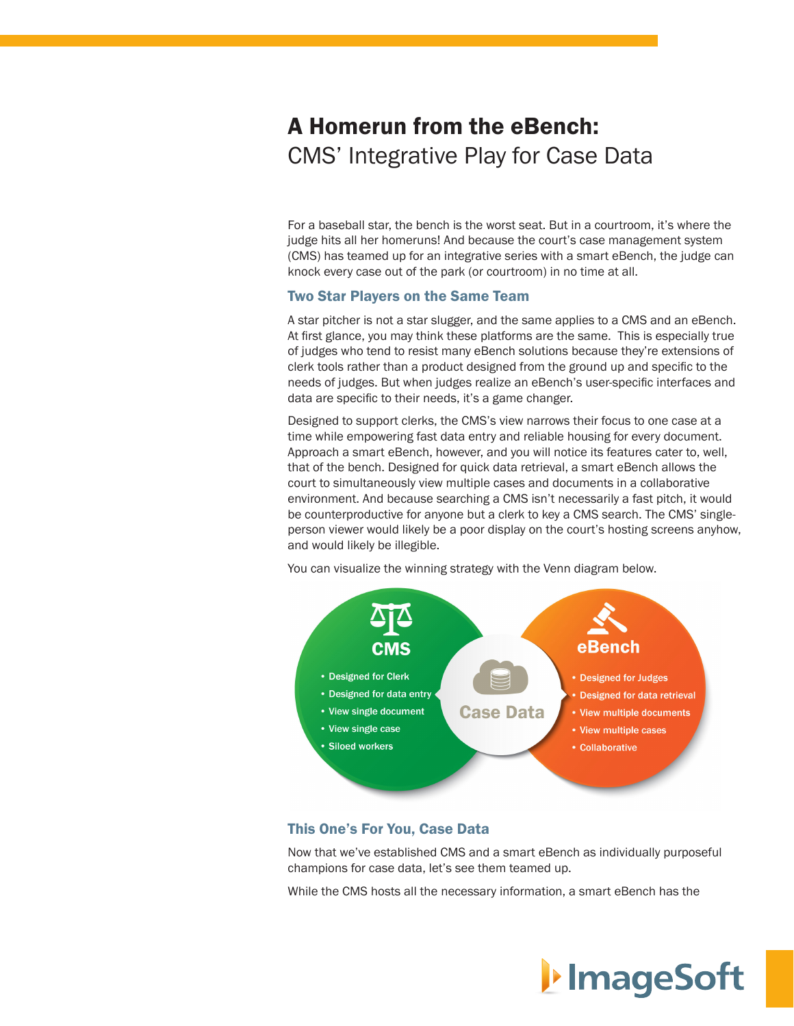### A Homerun from the eBench: CMS' Integrative Play for Case Data

For a baseball star, the bench is the worst seat. But in a courtroom, it's where the judge hits all her homeruns! And because the court's case management system (CMS) has teamed up for an integrative series with a smart eBench, the judge can knock every case out of the park (or courtroom) in no time at all.

#### Two Star Players on the Same Team

A star pitcher is not a star slugger, and the same applies to a CMS and an eBench. At first glance, you may think these platforms are the same. This is especially true of judges who tend to resist many eBench solutions because they're extensions of clerk tools rather than a product designed from the ground up and specific to the needs of judges. But when judges realize an eBench's user-specific interfaces and data are specific to their needs, it's a game changer.

Designed to support clerks, the CMS's view narrows their focus to one case at a time while empowering fast data entry and reliable housing for every document. Approach a smart eBench, however, and you will notice its features cater to, well, that of the bench. Designed for quick data retrieval, a smart eBench allows the court to simultaneously view multiple cases and documents in a collaborative environment. And because searching a CMS isn't necessarily a fast pitch, it would be counterproductive for anyone but a clerk to key a CMS search. The CMS' singleperson viewer would likely be a poor display on the court's hosting screens anyhow, and would likely be illegible.

You can visualize the winning strategy with the Venn diagram below.



### This One's For You, Case Data

Now that we've established CMS and a smart eBench as individually purposeful champions for case data, let's see them teamed up.

While the CMS hosts all the necessary information, a smart eBench has the

# I**I** ImageSoft